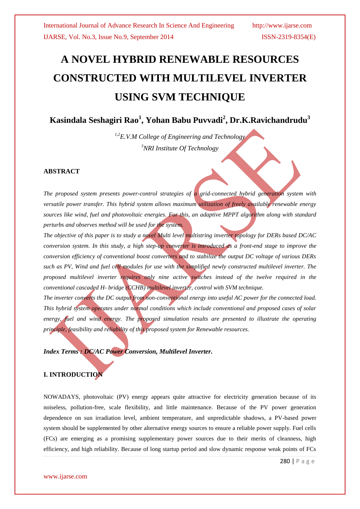# **A NOVEL HYBRID RENEWABLE RESOURCES CONSTRUCTED WITH MULTILEVEL INVERTER USING SVM TECHNIQUE**

**Kasindala Seshagiri Rao<sup>1</sup> , Yohan Babu Puvvadi<sup>2</sup> , Dr.K.Ravichandrudu<sup>3</sup>**

*1,2E.V.M College of Engineering and Technology <sup>3</sup>NRI Institute Of Technology*

#### **ABSTRACT**

*The proposed system presents power-control strategies of a grid-connected hybrid generation system with versatile power transfer. This hybrid system allows maximum utilization of freely available renewable energy sources like wind, fuel and photovoltaic energies. For this, an adaptive MPPT algorithm along with standard perturbs and observes method will be used for the system.*

*The objective of this paper is to study a novel Multi level multistring inverter topology for DERs based DC/AC conversion system. In this study, a high step-up converter is introduced as a front-end stage to improve the conversion efficiency of conventional boost converters and to stabilize the output DC voltage of various DERs such as PV, Wind and fuel cell modules for use with the simplified newly constructed multilevel inverter. The proposed multilevel inverter requires only nine active switches instead of the twelve required in the conventional cascaded H- bridge (CCHB) multilevel inverter, control with SVM technique.*

*The inverter converts the DC output from non-conventional energy into useful AC power for the connected load. This hybrid system operates under normal conditions which include conventional and proposed cases of solar energy, fuel and wind energy. The proposed simulation results are presented to illustrate the operating principle, feasibility and reliability of this proposed system for Renewable resources.*

*Index Terms : DC/AC Power Conversion, Multilevel Inverter.* 

### **I. INTRODUCTION**

NOWADAYS, photovoltaic (PV) energy appears quite attractive for electricity generation because of its noiseless, pollution-free, scale flexibility, and little maintenance. Because of the PV power generation dependence on sun irradiation level, ambient temperature, and unpredictable shadows, a PV-based power system should be supplemented by other alternative energy sources to ensure a reliable power supply. Fuel cells (FCs) are emerging as a promising supplementary power sources due to their merits of cleanness, high efficiency, and high reliability. Because of long startup period and slow dynamic response weak points of FCs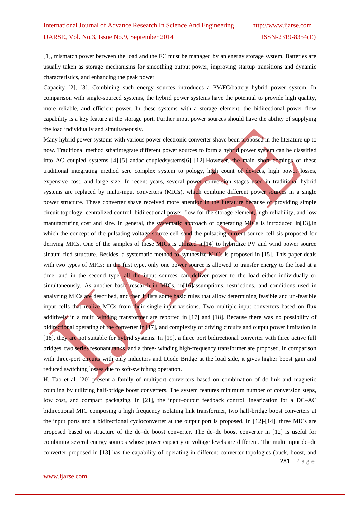[1], mismatch power between the load and the FC must be managed by an energy storage system. Batteries are usually taken as storage mechanisms for smoothing output power, improving startup transitions and dynamic characteristics, and enhancing the peak power

Capacity [2], [3]. Combining such energy sources introduces a PV/FC/battery hybrid power system. In comparison with single-sourced systems, the hybrid power systems have the potential to provide high quality, more reliable, and efficient power. In these systems with a storage element, the bidirectional power flow capability is a key feature at the storage port. Further input power sources should have the ability of supplying the load individually and simultaneously.

Many hybrid power systems with various power electronic converter shave been proposed in the literature up to now. Traditional method sthatintegrate different power sources to form a hybrid power system can be classified into AC coupled systems [4],[5] andac-coupledsystems[6]–[12].However, the main short comings of these traditional integrating method sere complex system to pology, high count of devices, high power losses, expensive cost, and large size. In recent years, several power conversion stages used in traditional hybrid systems are replaced by multi-input converters (MICs), which combine different power sources in a single power structure. These converter shave received more attention in the literature because of providing simple circuit topology, centralized control, bidirectional power flow for the storage element, high reliability, and low manufacturing cost and size. In general, the systematic approach of generating MICs is introduced in[13], in which the concept of the pulsating voltage source cell sand the pulsating current source cell sis proposed for deriving MICs. One of the samples of these MICs is utilized in [14] to hybridize PV and wind power source sinauni fied structure. Besides, a systematic method to synthesize MICs is proposed in [15]. This paper deals with two types of MICs: in the first type, only one power source is allowed to transfer energy to the load at a time, and in the second type, all the input sources can deliver power to the load either individually or simultaneously. As another basic research in MICs, in[16] assumptions, restrictions, and conditions used in analyzing MICs are described, and then it lists some basic rules that allow determining feasible and un-feasible input cells that realize MICs from their single-input versions. Two multiple-input converters based on flux additively in a multi winding transformer are reported in [17] and [18]. Because there was no possibility of bidirectional operating of the converter in [17], and complexity of driving circuits and output power limitation in [18], they are not suitable for hybrid systems. In [19], a three port bidirectional converter with three active full bridges, two series resonant tanks, and a three- winding high-frequency transformer are proposed. In comparison with three-port circuits with only inductors and Diode Bridge at the load side, it gives higher boost gain and reduced switching losses due to soft-switching operation.

H. Tao et al. [20] present a family of multiport converters based on combination of dc link and magnetic coupling by utilizing half-bridge boost converters. The system features minimum number of conversion steps, low cost, and compact packaging. In [21], the input–output feedback control linearization for a DC–AC bidirectional MIC composing a high frequency isolating link transformer, two half-bridge boost converters at the input ports and a bidirectional cycloconverter at the output port is proposed. In [12]-[14], three MICs are proposed based on structure of the dc–dc boost converter. The dc–dc boost converter in [12] is useful for combining several energy sources whose power capacity or voltage levels are different. The multi input dc–dc converter proposed in [13] has the capability of operating in different converter topologies (buck, boost, and

281 | P a g e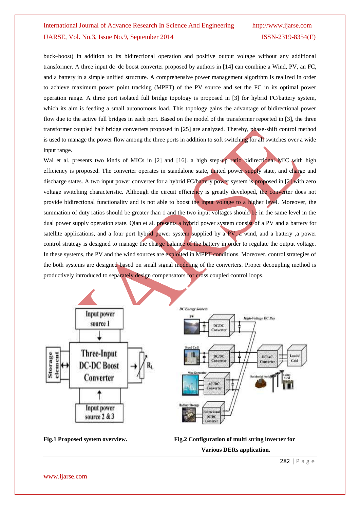buck–boost) in addition to its bidirectional operation and positive output voltage without any additional transformer. A three input dc–dc boost converter proposed by authors in [14] can combine a Wind, PV, an FC, and a battery in a simple unified structure. A comprehensive power management algorithm is realized in order to achieve maximum power point tracking (MPPT) of the PV source and set the FC in its optimal power operation range. A three port isolated full bridge topology is proposed in [3] for hybrid FC/battery system, which its aim is feeding a small autonomous load. This topology gains the advantage of bidirectional power flow due to the active full bridges in each port. Based on the model of the transformer reported in [3], the three transformer coupled half bridge converters proposed in [25] are analyzed. Thereby, phase-shift control method is used to manage the power flow among the three ports in addition to soft switching for all switches over a wide input range.

Wai et al. presents two kinds of MICs in [2] and [16]. a high step-up ratio bidirectional MIC with high efficiency is proposed. The converter operates in standalone state, united power supply state, and charge and discharge states. A two input power converter for a hybrid FC/battery power system is proposed in [2] with zero voltage switching characteristic. Although the circuit efficiency is greatly developed, the converter does not provide bidirectional functionality and is not able to boost the input voltage to a higher level. Moreover, the summation of duty ratios should be greater than 1 and the two input voltages should be in the same level in the dual power supply operation state. Qian et al. presents a hybrid power system consist of a PV and a battery for satellite applications, and a four port hybrid power system supplied by a PV, a wind, and a battery ,a power control strategy is designed to manage the charge balance of the battery in order to regulate the output voltage. In these systems, the PV and the wind sources are exploited in MPPT conditions. Moreover, control strategies of the both systems are designed based on small signal modeling of the converters. Proper decoupling method is productively introduced to separately design compensators for cross coupled control loops.





**Fig.1 Proposed system overview. Fig.2 Configuration of multi string inverter for** 

**Various DERs application.**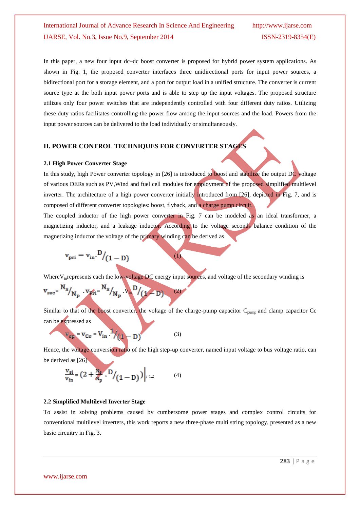In this paper, a new four input dc–dc boost converter is proposed for hybrid power system applications. As shown in Fig. 1, the proposed converter interfaces three unidirectional ports for input power sources, a bidirectional port for a storage element, and a port for output load in a unified structure. The converter is current source type at the both input power ports and is able to step up the input voltages. The proposed structure utilizes only four power switches that are independently controlled with four different duty ratios. Utilizing these duty ratios facilitates controlling the power flow among the input sources and the load. Powers from the input power sources can be delivered to the load individually or simultaneously.

#### **II. POWER CONTROL TECHNIQUES FOR CONVERTER STAGES**

#### **2.1 High Power Converter Stage**

In this study, high Power converter topology in [26] is introduced to boost and stabilize the output DC voltage of various DERs such as PV,Wind and fuel cell modules for employment of the proposed simplified multilevel inverter. The architecture of a high power converter initially introduced from [26], depicted in Fig. 7, and is composed of different converter topologies: boost, flyback, and a charge pump circuit.

The coupled inductor of the high power converter in Fig. 7 can be modeled as an ideal transformer, a magnetizing inductor, and a leakage inductor. According to the voltage seconds balance condition of the magnetizing inductor the voltage of the primary winding can be derived as

$$
\mathbf{v}_{\mathrm{pri}} = \mathbf{v}_{\mathrm{in}} \cdot \mathbf{D}/(1 - \mathbf{D})
$$

Where  $V_{in}$  represents each the low-voltage DC energy input sources, and voltage of the secondary winding is

(1)

$$
v_{\rm sec} = \frac{N_S}{N_P} \cdot v_{\rm pri} = \frac{N_S}{N_P} \cdot v_{\rm in} D / (1 - D)
$$
 (2)

Similar to that of the boost converter, the voltage of the charge-pump capacitor  $C_{pump}$  and clamp capacitor  $Cc$ can be expressed as

$$
V_{cp} = V_{Cc} = V_{in}^{-1} / (1 - D)
$$
 (3)

Hence, the voltage conversion ratio of the high step-up converter, named input voltage to bus voltage ratio, can be derived as [26]

$$
\frac{v_{si}}{v_{in}} = (2 + \frac{N_s}{N_p} \cdot D / (1 - D)) \Big|_{i=1,2}
$$
 (4)

#### **2.2 Simplified Multilevel Inverter Stage**

To assist in solving problems caused by cumbersome power stages and complex control circuits for conventional multilevel inverters, this work reports a new three-phase multi string topology, presented as a new basic circuitry in Fig. 3.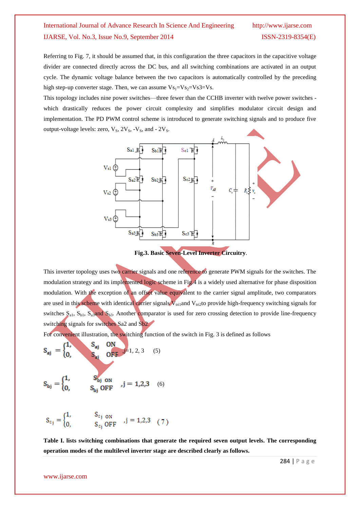Referring to Fig. 7, it should be assumed that, in this configuration the three capacitors in the capacitive voltage divider are connected directly across the DC bus, and all switching combinations are activated in an output cycle. The dynamic voltage balance between the two capacitors is automatically controlled by the preceding high step-up converter stage. Then, we can assume  $Vs_1=Vs_2=Vs3=Vs$ .

This topology includes nine power switches—three fewer than the CCHB inverter with twelve power switches which drastically reduces the power circuit complexity and simplifies modulator circuit design and implementation. The PD PWM control scheme is introduced to generate switching signals and to produce five output-voltage levels: zero,  $V_S$ ,  $2V_S$ ,  $-V_S$ , and -  $2V_S$ .



**Fig.3. Basic Seven-Level Inverter Circuitry**.

This inverter topology uses two carrier signals and one reference to generate PWM signals for the switches. The modulation strategy and its implemented logic scheme in Fig.4 is a widely used alternative for phase disposition modulation. With the exception of an offset value equivalent to the carrier signal amplitude, two comparators are used in this scheme with identical carrier signals  $V_{tri1}$  and  $V_{tri2}$  to provide high-frequency switching signals for switches  $S_{a1}$ ,  $S_{b1}$ ,  $S_{a3}$  and  $S_{b3}$ . Another comparator is used for zero crossing detection to provide line-frequency switching signals for switches Sa2 and Sb2.

For convenient illustration, the switching function of the switch in Fig. 3 is defined as follows

$$
S_{aj} = \begin{cases} 1, & S_{aj} \text{ ON} \\ 0, & S_{aj} \text{ OFF} \end{cases}
$$
 (5)

$$
S_{bj} = \begin{cases} 1, & S_{bj \text{ ON}} \\ 0, & S_{bj} \text{ OFF} \end{cases}, j = 1, 2, 3 \quad (6)
$$

$$
S_{c_j} = \begin{cases} 1, & S_{c_j \text{ ON}} \\ 0, & S_{c_j} \text{ OFF} \end{cases}, j = 1, 2, 3 \quad (7)
$$

**Table I. lists switching combinations that generate the required seven output levels. The corresponding operation modes of the multilevel inverter stage are described clearly as follows.**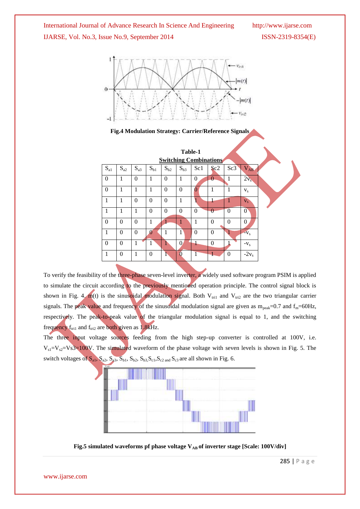



**Fig.4 Modulation Strategy: Carrier/Reference Signals**

| Table-1<br><b>Switching Combinations</b> |          |          |                       |              |                |                |              |                |                |  |
|------------------------------------------|----------|----------|-----------------------|--------------|----------------|----------------|--------------|----------------|----------------|--|
| $S_{a1}$                                 | $S_{a2}$ | $S_{a3}$ | $S_{b1}$              | $S_{b2}$     | $S_{b3}$       | Sc1            | Sc2          | Sc3            | $V_{AB}$       |  |
| $\theta$                                 | 1        | $\theta$ | 1                     | $\mathbf{0}$ | 1              | $\overline{0}$ | $\theta$     | 1              | $2v_s$         |  |
| $\overline{0}$                           | 1        | 1        | 1                     | $\mathbf{0}$ | $\overline{0}$ | 0              | 1            | 1              | $V_{S}$        |  |
| 1                                        | 1        | $\theta$ | $\theta$              | $\mathbf{0}$ | 1              |                | 1            |                | $V_{S}$        |  |
| 1                                        | 1        | 1        | $\Omega$              | $\Omega$     | $\theta$       | $\theta$       | $\theta$     | $\overline{0}$ | $\overline{0}$ |  |
| $\theta$                                 | $\theta$ | $\theta$ | 1                     |              | 1              | 1              | $\Omega$     | $\theta$       | $\theta$       |  |
| $\mathbf{1}$                             | $\theta$ | $\theta$ | $\boldsymbol{\Omega}$ | 1            | $\mathbf{1}$   | $\theta$       | $\mathbf{0}$ |                | $-Vs$          |  |
| $\mathbf{0}$                             | $\theta$ | 1        | 1                     | 1            | $\Omega$       | 1              | $\mathbf{0}$ |                | $-Vs$          |  |
| 1                                        | $\theta$ | 1        | $\theta$              | г            | $\overline{0}$ | ſ              |              | $\Omega$       | $-2v_s$        |  |

To verify the feasibility of the three-phase seven-level inverter, a widely used software program PSIM is applied to simulate the circuit according to the previously mentioned operation principle. The control signal block is shown in Fig. 4. m(t) is the sinusoidal modulation signal. Both  $V_{\text{tri}}$  and  $V_{\text{tri}}$  are the two triangular carrier signals. The peak value and frequency of the sinusoidal modulation signal are given as  $m_{peak}=0.7$  and  $f_{m}=60$ Hz, respectively. The peak-to-peak value of the triangular modulation signal is equal to 1, and the switching frequency  $f<sub>tri1</sub>$  and  $f<sub>tri2</sub>$  are both given as 1.8kHz.

The three input voltage sources feeding from the high step-up converter is controlled at 100V, i.e.  $V_{s1}=V_{s2}=V_s3=100V$ . The simulated waveform of the phase voltage with seven levels is shown in Fig. 5. The switch voltages of  $S_{a1}$ ,  $S_{a2}$ ,  $S_{a3}$ ,  $S_{b1}$ ,  $S_{b2}$ ,  $S_{b3}$ ,  $S_{c1}$ ,  $S_{c2}$  and  $S_{c3}$  are all shown in Fig. 6.



Fig.5 simulated waveforms pf phase voltage V<sub>AB</sub> of inverter stage [Scale: 100V/div]

285 | P a g e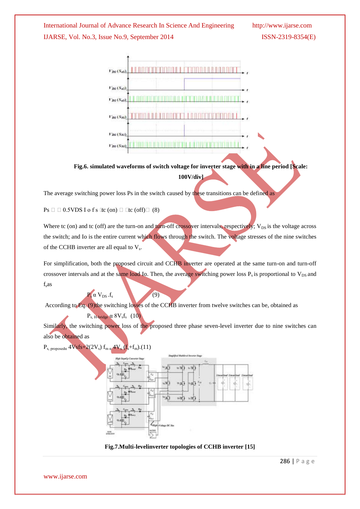

**Fig.6. simulated waveforms of switch voltage for inverter stage with in a line period [Scale: 100V/div]**

The average switching power loss Ps in the switch caused by these transitions can be defined as

 $Ps \Box \Box 0.5VDS I$  of s  $Ic$  (on)  $\Box \Box c$  (off)  $\Box$  (8)

Where tc (on) and tc (off) are the turn-on and turn-off crossover intervals, respectively;  $V_{DS}$  is the voltage across the switch; and Io is the entire current which flows through the switch. The voltage stresses of the nine switches of the CCHB inverter are all equal to  $V_s$ .

For simplification, both the proposed circuit and CCHB inverter are operated at the same turn-on and turn-off crossover intervals and at the same load Io. Then, the average switching power loss  $P_s$  is proportional to  $V_{DS}$  and  $f<sub>s</sub>$ as

According to Eq. (9)the switching losses of the CCHB inverter from twelve switches can be, obtained as

Similarly, the switching power loss of the proposed three phase seven-level inverter due to nine switches can also be obtained as

 $P_{s. \text{proposed } \alpha}$  4Vsfs+2(2V<sub>s</sub>)  $f_{m\alpha}$  4V<sub>s</sub> ( $f_s$ + $f_m$ ).(11)

 $\mathbf{P}.\alpha \mathbf{V}_{\text{DS}}.f_{\text{s}}$  (9)

 $P_{s, H\text{-bridge}} \alpha 8V_s f_s$  (10)



**Fig.7.Multi-levelinverter topologies of CCHB inverter [15]**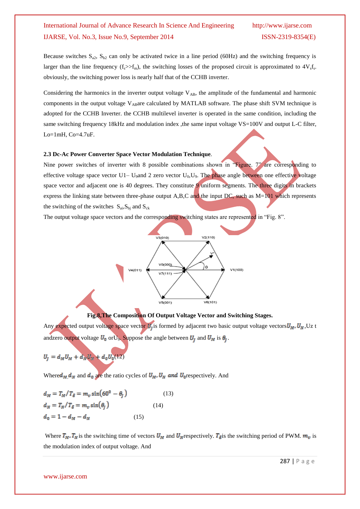Because switches  $S_{a2}$ ,  $S_{b2}$  can only be activated twice in a line period (60Hz) and the switching frequency is larger than the line frequency  $(f_s > f_m)$ , the switching losses of the proposed circuit is approximated to  $4V_s f_s$ . obviously, the switching power loss is nearly half that of the CCHB inverter.

Considering the harmonics in the inverter output voltage  $V_{AB}$ , the amplitude of the fundamental and harmonic components in the output voltage  $V_{AB}$ are calculated by MATLAB software. The phase shift SVM technique is adopted for the CCHB Inverter. the CCHB multilevel inverter is operated in the same condition, including the same switching frequency 18kHz and modulation index , the same input voltage VS=100V and output L-C filter, Lo=1mH, Co=4.7uF.

#### **2.3 Dc-Ac Power Converter Space Vector Modulation Technique***.*

Nine power switches of inverter with 8 possible combinations shown in "Figure.  $7$ " are corresponding to effective voltage space vector U1– U<sub>9</sub>and 2 zero vector  $U_0$ , U<sub>9</sub>. The phase angle between one effective voltage space vector and adjacent one is 40 degrees. They constitute 9 uniform segments. The three digits in brackets express the linking state between three-phase output A,B,C and the input DC, such as  $M=101$  which represents the switching of the switches  $S_{ai}$ ,  $S_{bi}$  and  $S_{ck}$ 

The output voltage space vectors and the corresponding switching states are represented in "Fig. 8".



**Fig.8,The Composition Of Output Voltage Vector and Switching Stages.** Any expected output voltage space vector  $U_1$  is formed by adjacent two basic output voltage vectors  $U_M$ ,  $U_N$ , Uz t andzero output voltage  $U_0$  or  $U_9$ . Suppose the angle between  $U_j$  and  $U_M$  is  $\theta_j$ .

$$
U_j = d_M U_M + d_N U_N + d_0 U_0(12)
$$

Where  $d_M$   $d_N$  and  $d_0$  are the ratio cycles of  $U_M$ ,  $U_N$  and  $U_0$  respectively. And

$$
d_M = T_M / T_{\delta} = m_v \sin(60^\circ - \theta_J)
$$
\n
$$
d_N = T_N / T_{\delta} = m_v \sin(\theta_J)
$$
\n
$$
d_0 = 1 - d_M - d_N
$$
\n(15)

Where  $T_M$ ,  $T_N$  is the switching time of vectors  $U_M$  and  $U_N$  respectively.  $T_\delta$  is the switching period of PWM.  $m_\nu$  is the modulation index of output voltage. And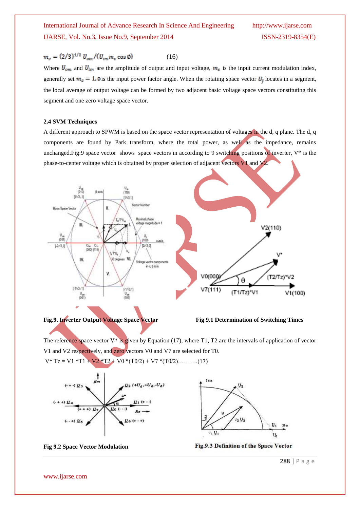$$
m_v = (2/3)^{1/2} U_{om} / (U_{im} m_c \cos \emptyset) \tag{16}
$$

Where  $U_{\text{om}}$  and  $U_{\text{im}}$  are the amplitude of output and input voltage,  $m_c$  is the input current modulation index, generally set  $m_c = 1$ ,  $\phi$  is the input power factor angle. When the rotating space vector  $U_l$  locates in a segment, the local average of output voltage can be formed by two adjacent basic voltage space vectors constituting this segment and one zero voltage space vector.

#### **2.4 SVM Techniques**

A different approach to SPWM is based on the space vector representation of voltages in the d, q plane. The d, q components are found by Park transform, where the total power, as well as the impedance, remains unchanged.Fig:9 space vector shows space vectors in according to 9 switching positions of inverter, V\* is the phase-to-center voltage which is obtained by proper selection of adjacent vectors V1 and V2.





The reference space vector  $V^*$  is given by Equation (17), where T1, T2 are the intervals of application of vector V1 and V2 respectively, and zero vectors V0 and V7 are selected for T0.  $V^*$  Tz = V1  $^*$ T1 + V2  $^*$ T2 + V0  $^*(T0/2)$  + V7  $^*(T0/2)$ ……….(17)





**Fig 9.2 Space Vector Modulation**

288 | P a g e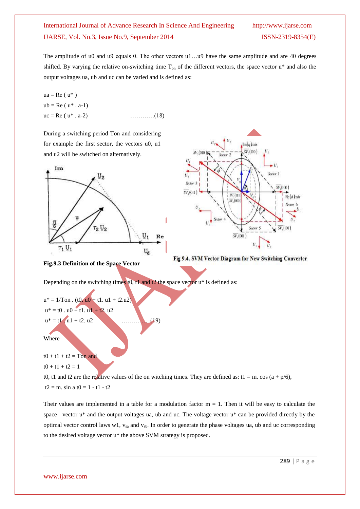The amplitude of u0 and u9 equals 0. The other vectors u1...u9 have the same amplitude and are 40 degrees shifted. By varying the relative on-switching time  $T_{on}$  of the different vectors, the space vector  $u^*$  and also the output voltages ua, ub and uc can be varied and is defined as:

 $ua = Re(u^*)$  $ub = Re (u^* . a-1)$  $uc = Re (u^* . a-2)$  …………(18)

During a switching period Ton and considering for example the first sector, the vectors u0, u1 and u2 will be switched on alternatively.





**Fig.9.3 Definition of the Space Vector** 

Depending on the switching times  $t0$ ,  $t1$  and  $t2$  the space vector  $u^*$  is defined as:

 $u^* = 1/T$ on. (t0.  $u0 + t1$ . u1 + t2.u2)  $u^* = t0$ .  $u0 + t1$ .  $u1 + t2$ .  $u2$  $u^* = t1$  .  $u1 + t2$ .  $u2$  ……….. (19) Where

 $t0 + t1 + t2 = Ton$  and

 $t0 + t1 + t2 = 1$ 

t0, t1 and t2 are the relative values of the on witching times. They are defined as: t1 = m. cos (a + p/6),

 $t2 = m$ . sin a  $t0 = 1 - t1 - t2$ 

Their values are implemented in a table for a modulation factor  $m = 1$ . Then it will be easy to calculate the space vector u\* and the output voltages ua, ub and uc. The voltage vector u\* can be provided directly by the optimal vector control laws w1,  $v_{sa}$  and  $v_{sb}$ . In order to generate the phase voltages ua, ub and uc corresponding to the desired voltage vector u\* the above SVM strategy is proposed.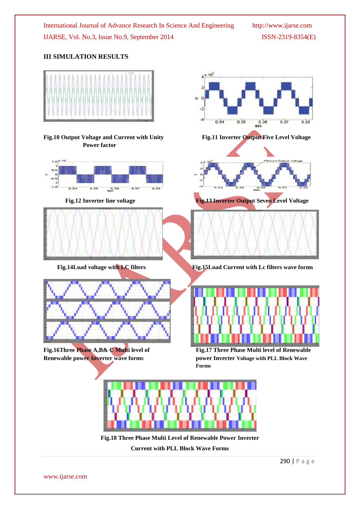### **III SIMULATION RESULTS**

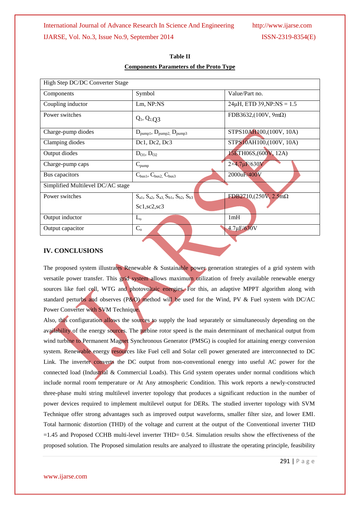| Symbol                                                          | Value/Part no.                  |  |  |  |  |  |  |
|-----------------------------------------------------------------|---------------------------------|--|--|--|--|--|--|
| Lm, NP:NS                                                       | $24\mu$ H, ETD 39, NP: NS = 1.5 |  |  |  |  |  |  |
| $Q_1$ , $Q_2$ , $Q_3$                                           | FDB3632,(100V, $9m\Omega$ )     |  |  |  |  |  |  |
| $D_{\text{pump1}}, D_{\text{pump2}}, D_{\text{pump3}}$          | STPS10AH100,(100V, 10A)         |  |  |  |  |  |  |
| Dc1, Dc2, Dc3                                                   | STPS10AH100,(100V, 10A)         |  |  |  |  |  |  |
| $D_{01}$ , $D_{02}$                                             | 15ETH06S, (600V, 12A)           |  |  |  |  |  |  |
| $C_{\text{pump}}$                                               | $2 \times 4.7 \mu F / 630 V$    |  |  |  |  |  |  |
| $C_{bus1}$ , $C_{bus2}$ , $C_{bus3}$                            | 2000uF/400V                     |  |  |  |  |  |  |
| Simplified Multilevel DC/AC stage                               |                                 |  |  |  |  |  |  |
| $S_{a1}$ , $S_{a2}$ , $S_{a3}$ , $S_{b1}$ , $S_{b2}$ , $S_{b3}$ | FDB2710,(250V, 2.5m $\Omega$    |  |  |  |  |  |  |
| Sc1, sc2, sc3                                                   |                                 |  |  |  |  |  |  |
| $L_{o}$                                                         | 1mH                             |  |  |  |  |  |  |
| $C_{o}$                                                         | $4.7\mu F/630V$                 |  |  |  |  |  |  |
|                                                                 |                                 |  |  |  |  |  |  |

### **Table II Components Parameters of the Proto Type**

#### **IV. CONCLUSIONS**

The proposed system illustrates Renewable & Sustainable power generation strategies of a grid system with versatile power transfer. This grid system allows maximum utilization of freely available renewable energy sources like fuel cell, WTG and photovoltaic energies. For this, an adaptive MPPT algorithm along with standard perturbs and observes (P&O) method will be used for the Wind, PV & Fuel system with DC/AC Power Converter with SVM Technique.

Also, this configuration allows the sources to supply the load separately or simultaneously depending on the availability of the energy sources. The turbine rotor speed is the main determinant of mechanical output from wind turbine to Permanent Magnet Synchronous Generator (PMSG) is coupled for attaining energy conversion system. Renewable energy resources like Fuel cell and Solar cell power generated are interconnected to DC Link. The inverter converts the DC output from non-conventional energy into useful AC power for the connected load (Industrial & Commercial Loads). This Grid system operates under normal conditions which include normal room temperature or At Any atmospheric Condition. This work reports a newly-constructed three-phase multi string multilevel inverter topology that produces a significant reduction in the number of power devices required to implement multilevel output for DERs. The studied inverter topology with SVM Technique offer strong advantages such as improved output waveforms, smaller filter size, and lower EMI. Total harmonic distortion (THD) of the voltage and current at the output of the Conventional inverter THD =1.45 and Proposed CCHB multi-level inverter THD= 0.54. Simulation results show the effectiveness of the proposed solution. The Proposed simulation results are analyzed to illustrate the operating principle, feasibility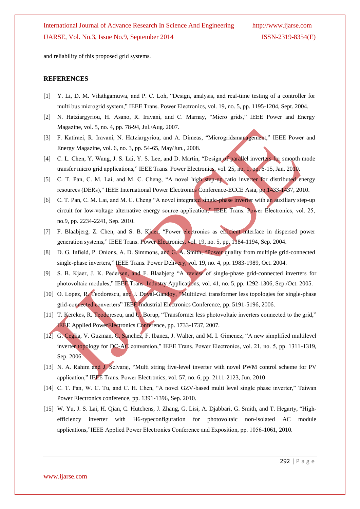and reliability of this proposed grid systems.

#### **REFERENCES**

- [1] Y. Li, D. M. Vilathgamuwa, and P. C. Loh, "Design, analysis, and real-time testing of a controller for multi bus microgrid system," IEEE Trans. Power Electronics, vol. 19, no. 5, pp. 1195-1204, Sept. 2004.
- [2] N. Hatziargyriou, H. Asano, R. Iravani, and C. Marnay, "Micro grids," IEEE Power and Energy Magazine, vol. 5, no. 4, pp. 78-94, Jul./Aug. 2007.
- [3] F. Katiraei, R. Iravani, N. Hatziargyriou, and A. Dimeas, "Microgridsmanagement," IEEE Power and Energy Magazine, vol. 6, no. 3, pp. 54-65, May/Jun., 2008.
- [4] C. L. Chen, Y. Wang, J. S. Lai, Y. S. Lee, and D. Martin, "Design of parallel inverters for smooth mode transfer micro grid applications," IEEE Trans. Power Electronics, vol. 25, no. 1, pp. 6-15, Jan. 2010.
- [5] C. T. Pan, C. M. Lai, and M. C. Cheng, "A novel high step-up ratio inverter for distributed energy resources (DERs)," IEEE International Power Electronics Conference-ECCE Asia, pp.1433-1437, 2010.
- [6] C. T. Pan, C. M. Lai, and M. C. Cheng "A novel integrated single-phase inverter with an auxiliary step-up circuit for low-voltage alternative energy source application," IEEE Trans. Power Electronics, vol. 25, no.9, pp. 2234-2241, Sep. 2010.
- [7] F. Blaabjerg, Z. Chen, and S. B. Kjaer, "Power electronics as efficient interface in dispersed power generation systems," IEEE Trans. Power Electronics, vol. 19, no. 5, pp. 1184-1194, Sep. 2004.
- [8] D. G. Infield, P. Onions, A. D. Simmons, and G. A. Smith, "Power quality from multiple grid-connected single-phase inverters," IEEE Trans. Power Delivery, vol. 19, no. 4, pp. 1983-1989, Oct. 2004.
- [9] S. B. Kjaer, J. K. Pedersen, and F. Blaabjerg "A review of single-phase grid-connected inverters for photovoltaic modules," IEEE Trans. Industry Applications, vol. 41, no. 5, pp. 1292-1306, Sep./Oct. 2005.
- [10] O. Lopez, R. Teodorescu, and J. Doval-Gandoy, "Multilevel transformer less topologies for single-phase grid-connected converters" IEEE Industrial Electronics Conference, pp. 5191-5196, 2006.
- [11] T. Kerekes, R. Teodorescu, and U. Borup, "Transformer less photovoltaic inverters connected to the grid," IEEE Applied PowerElectronics Conference, pp. 1733-1737, 2007.
- [12] G. Ceglia, V. Guzman, C. Sanchez, F. Ibanez, J. Walter, and M. I. Gimenez, "A new simplified multilevel inverter topology for DC-AC conversion," IEEE Trans. Power Electronics, vol. 21, no. 5, pp. 1311-1319, Sep. 2006
- [13] N. A. Rahim and J. Selvaraj, "Multi string five-level inverter with novel PWM control scheme for PV application," IEEE Trans. Power Electronics, vol. 57, no. 6, pp. 2111-2123, Jun. 2010
- [14] C. T. Pan, W. C. Tu, and C. H. Chen, "A novel GZV-based multi level single phase inverter," Taiwan Power Electronics conference, pp. 1391-1396, Sep. 2010.
- [15] W. Yu, J. S. Lai, H. Qian, C. Hutchens, J. Zhang, G. Lisi, A. Djabbari, G. Smith, and T. Hegarty, "Highefficiency inverter with H6-typeconfiguration for photovoltaic non-isolated AC module applications,‖IEEE Applied Power Electronics Conference and Exposition, pp. 1056-1061, 2010.